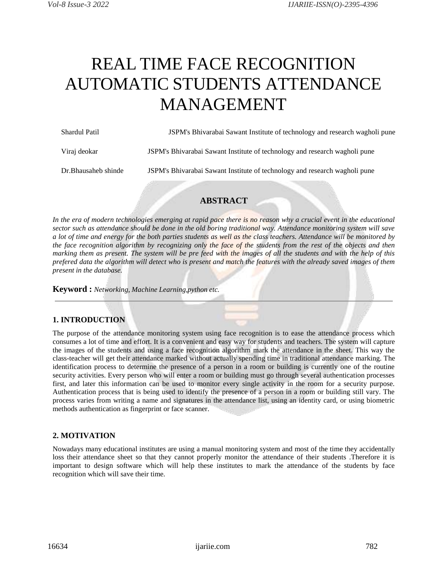# REAL TIME FACE RECOGNITION AUTOMATIC STUDENTS ATTENDANCE MANAGEMENT

| <b>Shardul Patil</b> | JSPM's Bhivarabai Sawant Institute of technology and research wagholi pune |
|----------------------|----------------------------------------------------------------------------|
| Viraj deokar         | JSPM's Bhivarabai Sawant Institute of technology and research wagholi pune |
| Dr.Bhausaheb shinde  | JSPM's Bhivarabai Sawant Institute of technology and research wagholi pune |

# **ABSTRACT**

*In the era of modern technologies emerging at rapid pace there is no reason why a crucial event in the educational sector such as attendance should be done in the old boring traditional way. Attendance monitoring system will save a lot of time and energy for the both parties students as well as the class teachers. Attendance will be monitored by the face recognition algorithm by recognizing only the face of the students from the rest of the objects and then marking them as present. The system will be pre feed with the images of all the students and with the help of this prefered data the algorithm will detect who is present and match the features with the already saved images of them present in the database.*

**Keyword :** *Networking, Machine Learning,python etc.*

## **1. INTRODUCTION**

The purpose of the attendance monitoring system using face recognition is to ease the attendance process which consumes a lot of time and effort. It is a convenient and easy way for students and teachers. The system will capture the images of the students and using a face recognition algorithm mark the attendance in the sheet. This way the class-teacher will get their attendance marked without actually spending time in traditional attendance marking. The identification process to determine the presence of a person in a room or building is currently one of the routine security activities. Every person who will enter a room or building must go through several authentication processes first, and later this information can be used to monitor every single activity in the room for a security purpose. Authentication process that is being used to identify the presence of a person in a room or building still vary. The process varies from writing a name and signatures in the attendance list, using an identity card, or using biometric methods authentication as fingerprint or face scanner.

#### **2. MOTIVATION**

Nowadays many educational institutes are using a manual monitoring system and most of the time they accidentally loss their attendance sheet so that they cannot properly monitor the attendance of their students .Therefore it is important to design software which will help these institutes to mark the attendance of the students by face recognition which will save their time.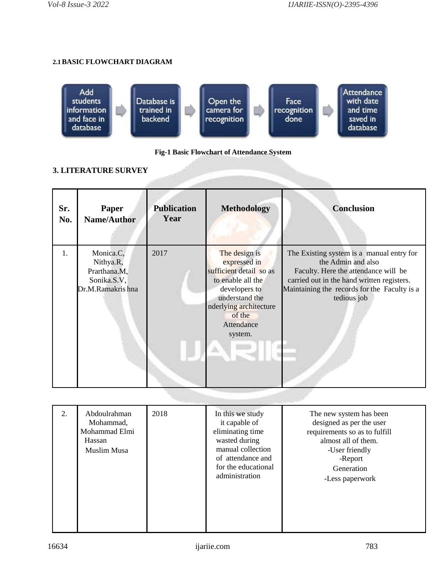# **2.1BASIC FLOWCHART DIAGRAM**



**Fig-1 Basic Flowchart of Attendance System**

# **3. LITERATURE SURVEY**

| Sr.<br>No. | Paper<br><b>Name/Author</b>                                                | <b>Publication</b><br>Year | <b>Methodology</b>                                                                                                                                                            | <b>Conclusion</b>                                                                                                                                                                                                    |
|------------|----------------------------------------------------------------------------|----------------------------|-------------------------------------------------------------------------------------------------------------------------------------------------------------------------------|----------------------------------------------------------------------------------------------------------------------------------------------------------------------------------------------------------------------|
| 1.         | Monica.C,<br>Nithya.R,<br>Prarthana.M,<br>Sonika.S.V,<br>Dr.M.Ramakris hna | 2017                       | The design is<br>expressed in<br>sufficient detail so as<br>to enable all the<br>developers to<br>understand the<br>nderlying architecture<br>of the<br>Attendance<br>system. | The Existing system is a manual entry for<br>the Admin and also<br>Faculty. Here the attendance will be<br>carried out in the hand written registers.<br>Maintaining the records for the Faculty is a<br>tedious job |

| 2. | Abdoulrahman<br>Mohammad,<br>Mohammad Elmi<br>Hassan<br>Muslim Musa | 2018 | In this we study<br>it capable of<br>eliminating time<br>wasted during<br>manual collection<br>of attendance and<br>for the educational<br>administration | The new system has been<br>designed as per the user<br>requirements so as to fulfill<br>almost all of them.<br>-User friendly<br>-Report<br>Generation<br>-Less paperwork |
|----|---------------------------------------------------------------------|------|-----------------------------------------------------------------------------------------------------------------------------------------------------------|---------------------------------------------------------------------------------------------------------------------------------------------------------------------------|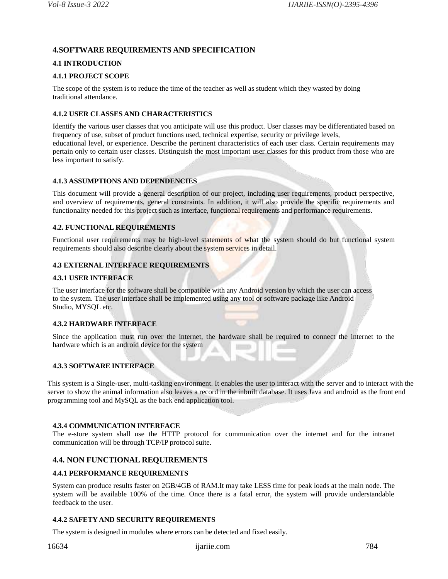# **4.SOFTWARE REQUIREMENTS AND SPECIFICATION**

## **4.1 INTRODUCTION**

## **4.1.1 PROJECT SCOPE**

The scope of the system is to reduce the time of the teacher as well as student which they wasted by doing traditional attendance.

## **4.1.2 USER CLASSES AND CHARACTERISTICS**

Identify the various user classes that you anticipate will use this product. User classes may be differentiated based on frequency of use, subset of product functions used, technical expertise, security or privilege levels, educational level, or experience. Describe the pertinent characteristics of each user class. Certain requirements may pertain only to certain user classes. Distinguish the most important user classes for this product from those who are less important to satisfy.

## **4.1.3 ASSUMPTIONS AND DEPENDENCIES**

This document will provide a general description of our project, including user requirements, product perspective, and overview of requirements, general constraints. In addition, it will also provide the specific requirements and functionality needed for this project such as interface, functional requirements and performance requirements.

## **4.2. FUNCTIONAL REQUIREMENTS**

Functional user requirements may be high-level statements of what the system should do but functional system requirements should also describe clearly about the system services in detail.

## **4.3 EXTERNAL INTERFACE REQUIREMENTS**

#### **4.3.1 USER INTERFACE**

The user interface for the software shall be compatible with any Android version by which the user can access to the system. The user interface shall be implemented using any tool or software package like Android Studio, MYSQL etc.

#### **4.3.2 HARDWARE INTERFACE**

Since the application must run over the internet, the hardware shall be required to connect the internet to the hardware which is an android device for the system

## **4.3.3 SOFTWARE INTERFACE**

This system is a Single-user, multi-tasking environment. It enables the user to interact with the server and to interact with the server to show the animal information also leaves a record in the inbuilt database. It uses Java and android as the front end programming tool and MySQL as the back end application tool.

#### **4.3.4 COMMUNICATION INTERFACE**

The e-store system shall use the HTTP protocol for communication over the internet and for the intranet communication will be through TCP/IP protocol suite.

## **4.4. NON FUNCTIONAL REQUIREMENTS**

#### **4.4.1 PERFORMANCE REQUIREMENTS**

System can produce results faster on 2GB/4GB of RAM.It may take LESS time for peak loads at the main node. The system will be available 100% of the time. Once there is a fatal error, the system will provide understandable feedback to the user.

#### **4.4.2 SAFETY AND SECURITY REQUIREMENTS**

The system is designed in modules where errors can be detected and fixed easily.